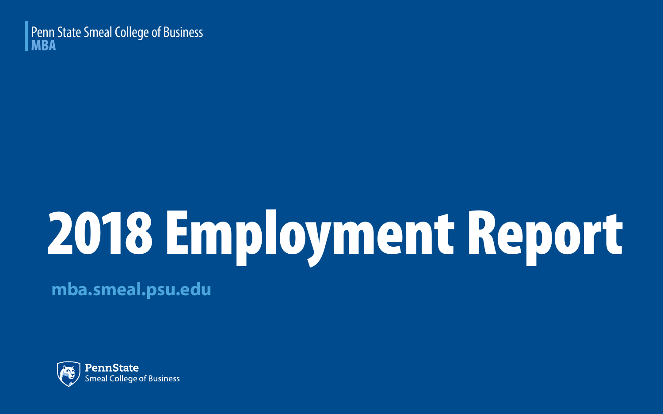#### Penn State Smeal College of Business MBA

# 2018 Employment Report

**mba.smeal.psu.edu**

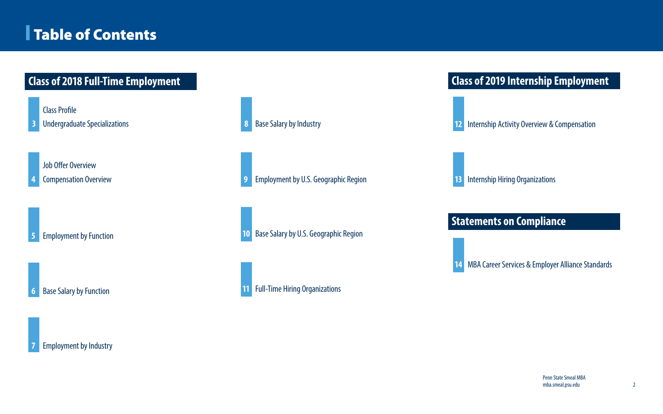### Table of Contents

Class Profile

Undergraduate Specializations

Job Offer Overview

Employment by Function

Base Salary by Function



 Compensation Overview **9** Employment by U.S. Geographic Region Base Salary by Industry Base Salary by U.S. Geographic Region

MBA Career Services & Employer Alliance Standards

#### Full-Time Hiring Organizations



#### **Class of 2018 Full-Time Employment Class of 2019 Internship Employment**

Internship Activity Overview & Compensation

Internship Hiring Organizations

#### **Statements on Compliance**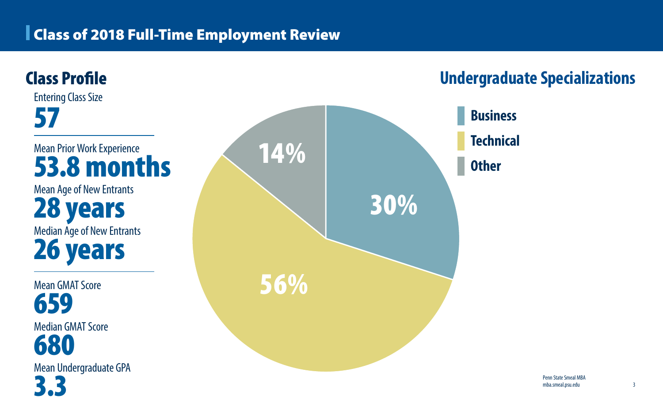### Class of 2018 Full-Time Employment Review



- **Business**
- **Technical**
- **Other**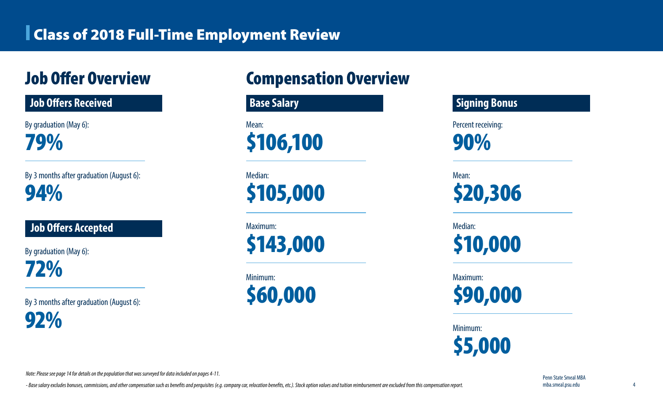### Class of 2018 Full-Time Employment Review

By graduation (May 6): 79%

By 3 months after graduation (August 6): 94%

By graduation (May 6): 72%

By 3 months after graduation (August 6):

92%

#### **Job Offers Accepted**

# Job Offer Overview Compensation Overview



Minimum: \$60,000





Percent receiving:

90%

\$20,306

Median:

\$10,000

Maximum:



Minimum:



*Note: Please see page 14 for details on the population that was surveyed for data included on pages 4-11.*

- Base salary excludes bonuses, commissions, and other compensation such as benefits and perquisites (e.g. company car, relocation benefits, etc.). Stock option values and tuition reimbursement are excluded from this compe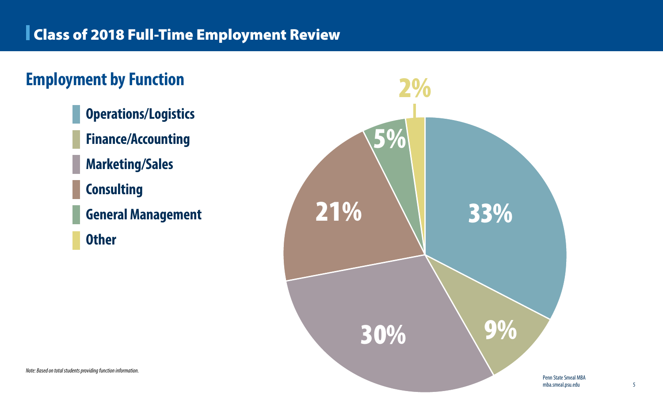

- **Operations/Logistics Finance/Accounting Marketing/Sales Consulting**
- **General Management**
- **Other**

# **Employment by Function**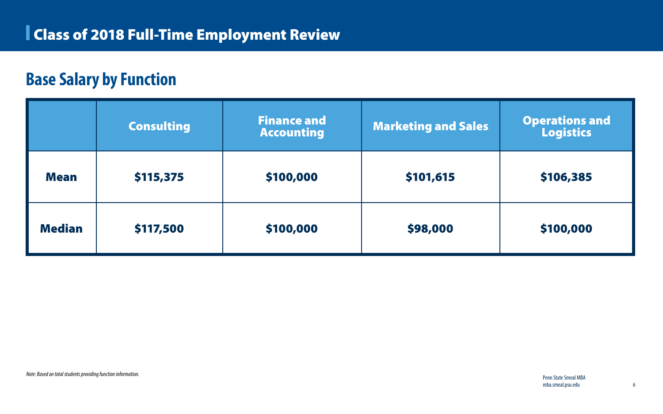# **Base Salary by Function**

|               | <b>Consulting</b> | <b>Finance and</b><br><b>Accounting</b> | <b>Marketing and Sales</b> | <b>Operations and<br/>Logistics</b> |
|---------------|-------------------|-----------------------------------------|----------------------------|-------------------------------------|
| <b>Mean</b>   | \$115,375         | \$100,000                               | \$101,615                  | \$106,385                           |
| <b>Median</b> | \$117,500         | \$100,000                               | \$98,000                   | \$100,000                           |

*Note: Based on total students providing function information.* 

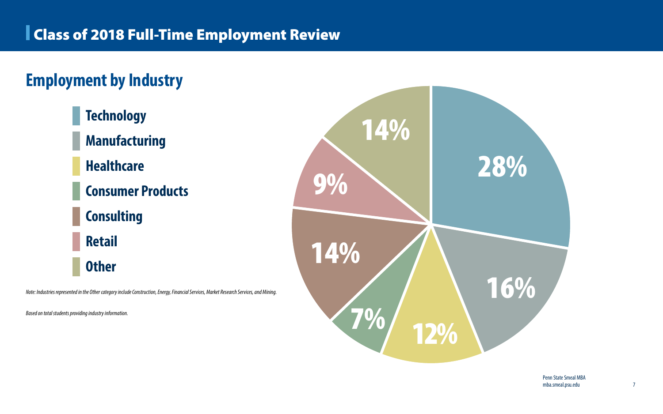**Technology Manufacturing Healthcare Consumer Products Consulting Retail Other**







# **Employment by Industry**

*Note: Industries represented in the Other category include Construction, Energy, Financial Services, Market Research Services, and Mining.*

*Based on total students providing industry information.*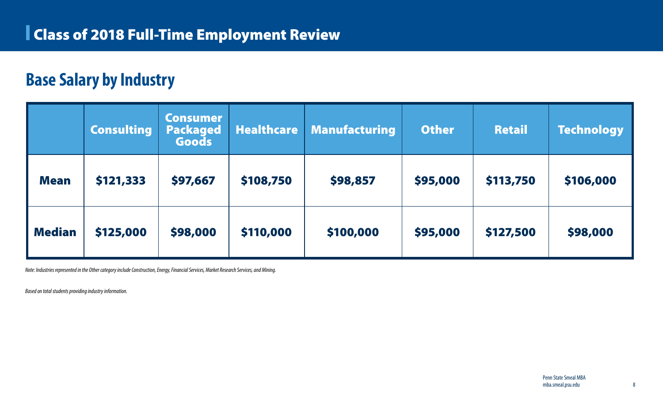### **Base Salary by Industry**

|               | <b>Consulting</b> | <b>Consumer</b><br>Packaged<br>Goods | <b>Healthcare</b> | <b>Manufacturing</b> | <b>Other</b> | <b>Retail</b> | <b>Technology</b> |
|---------------|-------------------|--------------------------------------|-------------------|----------------------|--------------|---------------|-------------------|
| <b>Mean</b>   | \$121,333         | \$97,667                             | \$108,750         | \$98,857             | \$95,000     | \$113,750     | \$106,000         |
| <b>Median</b> | \$125,000         | \$98,000                             | \$110,000         | \$100,000            | \$95,000     | \$127,500     | \$98,000          |

*Note: Industries represented in the Other category include Construction, Energy, Financial Services, Market Research Services, and Mining.* 

*Based on total students providing industry information.*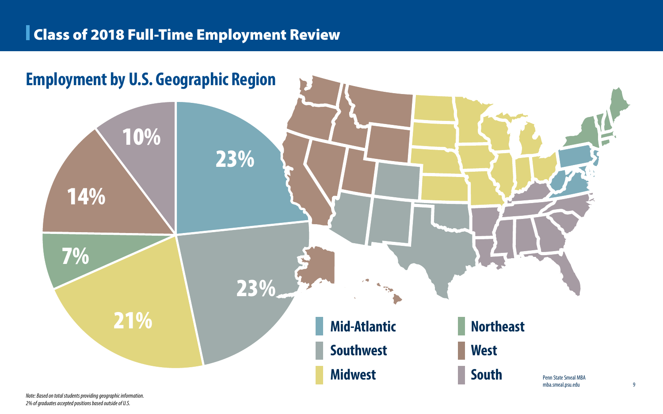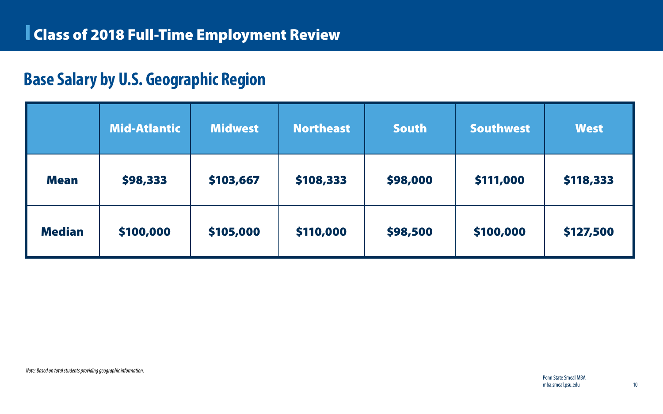### **Base Salary by U.S. Geographic Region**

|               | Mid-Atlantic | <b>Midwest</b> | <b>Northeast</b> | <b>South</b> | <b>Southwest</b> | <b>West</b> |
|---------------|--------------|----------------|------------------|--------------|------------------|-------------|
| <b>Mean</b>   | \$98,333     | \$103,667      | \$108,333        | \$98,000     | \$111,000        | \$118,333   |
| <b>Median</b> | \$100,000    | \$105,000      | \$110,000        | \$98,500     | \$100,000        | \$127,500   |

*Note: Based on total students providing geographic information.*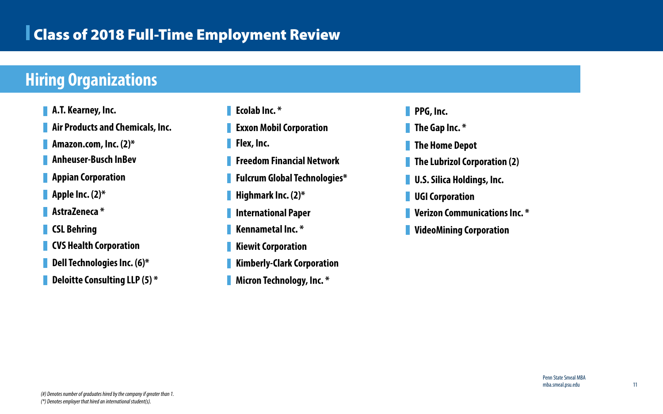### Class of 2018 Full-Time Employment Review

### **Hiring Organizations**

- **A.T. Kearney, Inc.**
- **Air Products and Chemicals, Inc.**
- **Amazon.com, Inc. (2)\***
- **Anheuser-Busch InBev**
- **Appian Corporation**
- **Apple Inc. (2)\***
- **AstraZeneca \***
- **CSL Behring**
- **CVS Health Corporation**
- **Dell Technologies Inc. (6)\***
- **Deloitte Consulting LLP (5) \***
- **Ecolab Inc. \***
- **Exxon Mobil Corporation**
- **Flex, Inc.**
- **Freedom Financial Network**
- **Fulcrum Global Technologies\***
- **Highmark Inc. (2)\***
- **International Paper**
- **Kennametal Inc. \***
- **Kiewit Corporation**
- **Kimberly-Clark Corporation**
- **Micron Technology, Inc. \***
- **PPG, Inc.**
- **The Gap Inc. \***
- **The Home Depot**
- **The Lubrizol Corporation (2)**
- **U.S. Silica Holdings, Inc.**
- **UGI Corporation**
- **Verizon Communications Inc. \***
- **VideoMining Corporation**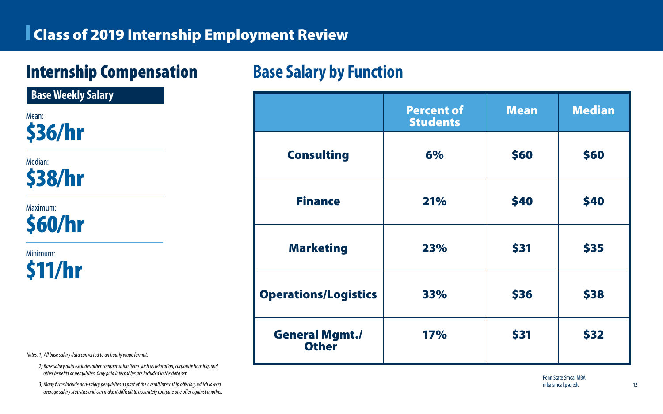### Class of 2019 Internship Employment Review

*Notes: 1) All base salary data converted to an hourly wage format.*

*2) Base salary data excludes other compensation items such as relocation, corporate housing, and other benefits or perquisites. Only paid internships are included in the data set.*

*3) Many firms include non-salary perquisites as part of the overall internship offering, which lowers average salary statistics and can make it difficult to accurately compare one offer against another.*

# Internship Compensation

**Base Weekly Salary**

Mean: \$36/hr

Median: \$38/hr

Maximum: \$60/hr

Minimum: \$11/hr

### **Base Salary by Function**

|                                       | <b>Percent of</b><br><b>Students</b> | <b>Mean</b> | <b>Median</b> |
|---------------------------------------|--------------------------------------|-------------|---------------|
| <b>Consulting</b>                     | 6%                                   | \$60        | \$60          |
| <b>Finance</b>                        | 21%                                  | \$40        | \$40          |
| <b>Marketing</b>                      | 23%                                  | \$31        | \$35          |
| <b>Operations/Logistics</b>           | 33%                                  | \$36        | \$38          |
| <b>General Mgmt./</b><br><b>Other</b> | <b>17%</b>                           | \$31        | \$32          |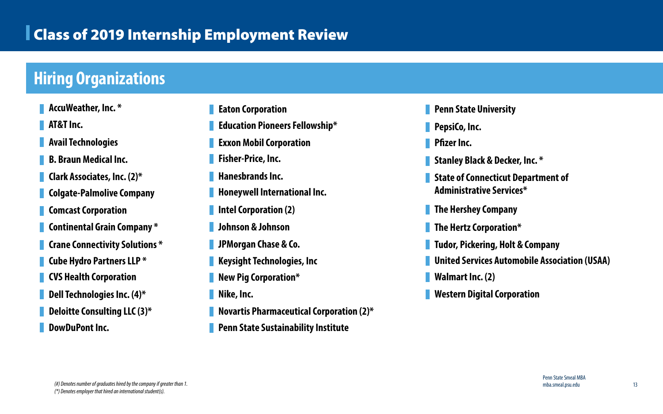#### **Pean University**

#### **Hiring Organizations**

- **AccuWeather, Inc. \***
- **AT&T Inc.**
- **Avail Technologies**
- **B. Braun Medical Inc.**
- **Clark Associates, Inc. (2)\***
- **Colgate-Palmolive Company**
- **Comcast Corporation**
- **Continental Grain Company \***
- **Crane Connectivity Solutions \***
- **Cube Hydro Partners LLP \***
- **CVS Health Corporation**
- **Dell Technologies Inc. (4)\***
- **Deloitte Consulting LLC (3)\***
- **DowDuPont Inc.**
- **Stanley Black & Decker, Inc. \***
- **Connecticut Department of Administer Services\***
- **The Hershey Company**
- **The Hertz Corporation\***
- **Rering, Holt & Company**
- **Prvices Automobile Association (USAA)**
- $Inc. (2)$
- **Digital Corporation**

| <b>Eaton Corporation</b>                        | <b>Penn Stat</b>   |
|-------------------------------------------------|--------------------|
| <b>Education Pioneers Fellowship*</b>           | PepsiCo, li        |
| <b>Exxon Mobil Corporation</b>                  | <b>Pfizer Inc.</b> |
| <b>Fisher-Price, Inc.</b>                       | <b>Stanley BI</b>  |
| Hanesbrands Inc.                                | <b>State of Co</b> |
| Honeywell International Inc.                    | Administr          |
| <b>Intel Corporation (2)</b>                    | <b>The Hersh</b>   |
| Johnson & Johnson                               | <b>The Hertz</b>   |
| <b>JPMorgan Chase &amp; Co.</b>                 | <b>Tudor, Pic</b>  |
| <b>Keysight Technologies, Inc.</b>              | <b>United Se</b>   |
| <b>New Pig Corporation*</b>                     | <b>Walmart I</b>   |
| Nike, Inc.                                      | Western D          |
| <b>Novartis Pharmaceutical Corporation (2)*</b> |                    |
|                                                 |                    |

**Penn State Sustainability Institute** 

**PepsiCo, Inc.**